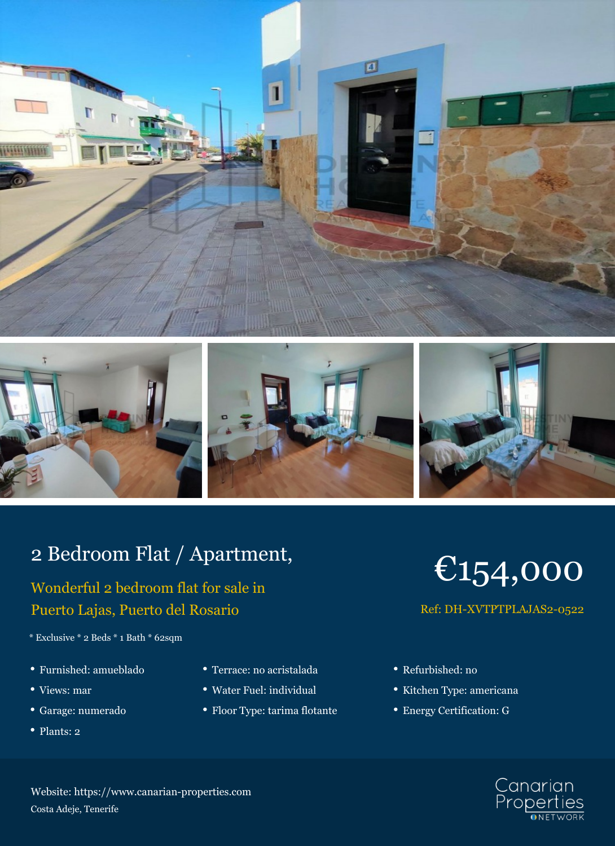



## 2 Bedroom Flat / Apartment,

### Wonderful 2 bedroom flat for sale in Puerto Lajas, Puerto del Rosario

- \* Exclusive \* 2 Beds \* 1 Bath \* 62sqm
- Furnished: amueblado Terrace: no acristalada Refurbished: no
- 
- 
- Plants: 2
- 
- 
- Garage: numerado Floor Type: tarima flotante Energy Certification: G

# €154,000

#### Ref: DH-XVTPTPLAJAS2-0522

- 
- Views: mar **Water Fuel:** individual **CO** Kitchen Type: americana
	-